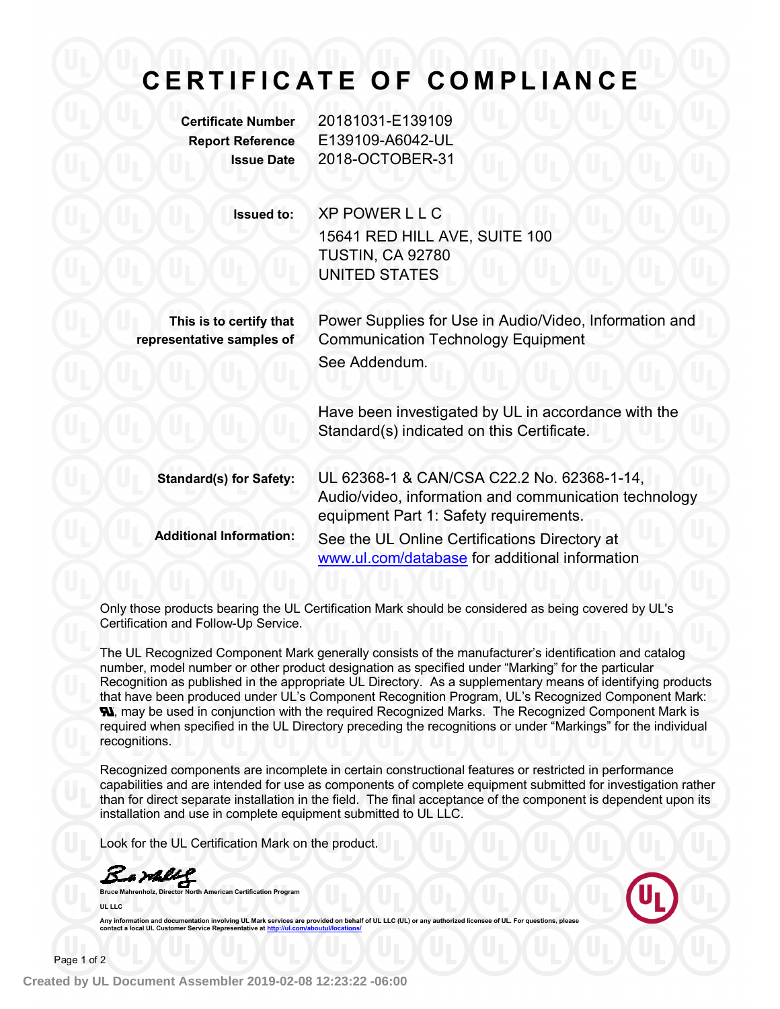# **C E R T I F I C A T E O F C O M PL I A N C E**

**Certificate Number** 20181031-E139109 **Report Reference** E139109-A6042-UL **Issue Date** 2018-OCTOBER-31

**Issued to:** XP POWER L L C

15641 RED HILL AVE, SUITE 100 TUSTIN, CA 92780 UNITED STATES

**This is to certify that representative samples of**

Power Supplies for Use in Audio/Video, Information and Communication Technology Equipment See Addendum.

Have been investigated by UL in accordance with the Standard(s) indicated on this Certificate.

**Standard(s) for Safety:** UL 62368-1 & CAN/CSA C22.2 No. 62368-1-14, Audio/video, information and communication technology equipment Part 1: Safety requirements. **Additional Information:** See the UL Online Certifications Directory at www.ul.com/database for additional information

Only those products bearing the UL Certification Mark should be considered as being covered by UL's Certification and Follow-Up Service.

The UL Recognized Component Mark generally consists of the manufacturer's identification and catalog number, model number or other product designation as specified under "Marking" for the particular Recognition as published in the appropriate UL Directory. As a supplementary means of identifying products that have been produced under UL's Component Recognition Program, UL's Recognized Component Mark: **N**, may be used in conjunction with the required Recognized Marks. The Recognized Component Mark is required when specified in the UL Directory preceding the recognitions or under "Markings" for the individual recognitions.

Recognized components are incomplete in certain constructional features or restricted in performance capabilities and are intended for use as components of complete equipment submitted for investigation rather than for direct separate installation in the field. The final acceptance of the component is dependent upon its installation and use in complete equipment submitted to UL LLC.

Look for the UL Certification Mark on the product.

Bamell

**Bruce Marker Mannison Certification Program UL LLC**

Any information and documentation involving UL Mark services are provided on behalf of UL LLC (UL) or any authorized licensee of UL. For questions, please<br>contact a local UL Customer Service Representative at <u>http://ul.co</u>

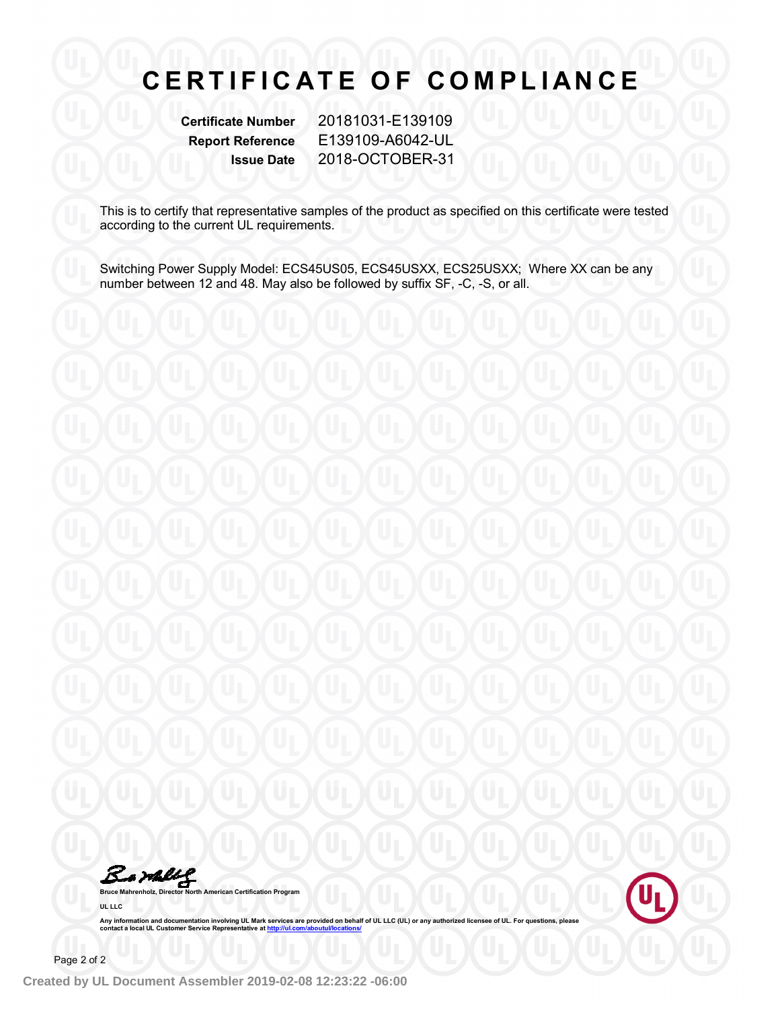# **C E R T I F I C A T E O F C O M PL I A N C E**

**Certificate Number** 20181031-E139109 **Report Reference** E139109-A6042-UL **Issue Date** 2018-OCTOBER-31

This is to certify that representative samples of the product as specified on this certificate were tested according to the current UL requirements.

Switching Power Supply Model: ECS45US05, ECS45USXX, ECS25USXX; Where XX can be any number between 12 and 48. May also be followed by suffix SF, -C, -S, or all.

Bamellg **Bruce Mahrenholz, Director North American Certification Program**



Any information and documentation involving UL Mark services are provided on behalf of UL LLC (UL) or any authorized licensee of UL. For questions, please<br>contact a local UL Customer Service Representative at <u>http://ul.co</u>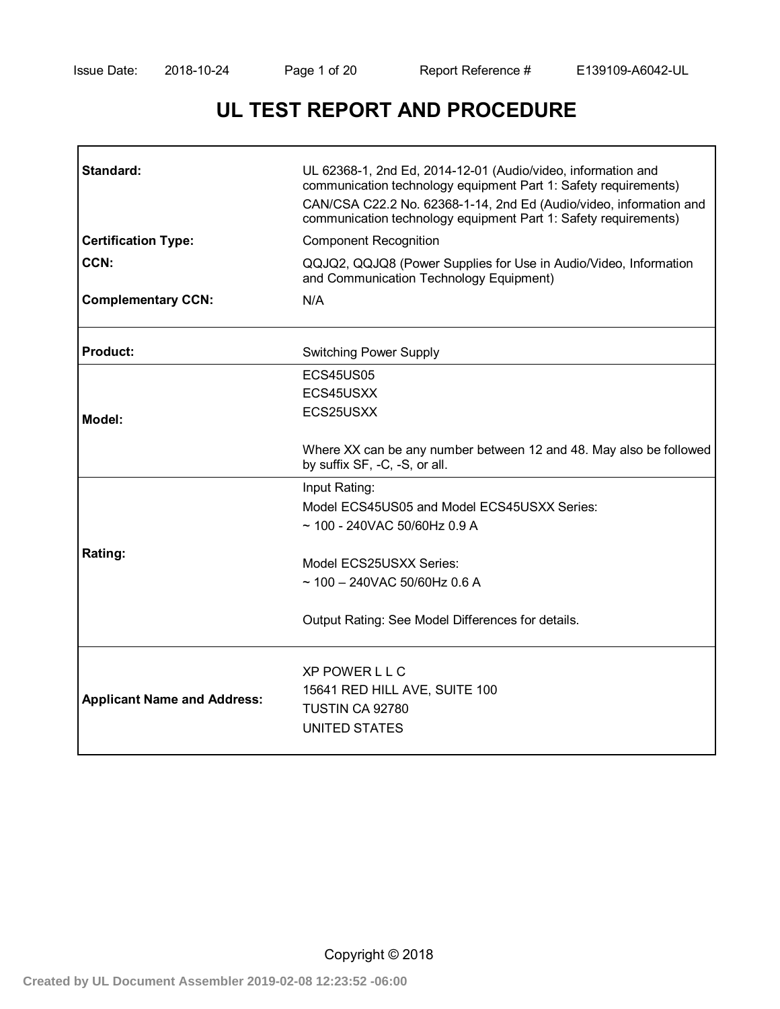# **UL TEST REPORT AND PROCEDURE**

| Standard:                          | UL 62368-1, 2nd Ed, 2014-12-01 (Audio/video, information and<br>communication technology equipment Part 1: Safety requirements)<br>CAN/CSA C22.2 No. 62368-1-14, 2nd Ed (Audio/video, information and<br>communication technology equipment Part 1: Safety requirements) |  |  |  |  |
|------------------------------------|--------------------------------------------------------------------------------------------------------------------------------------------------------------------------------------------------------------------------------------------------------------------------|--|--|--|--|
| <b>Certification Type:</b>         | <b>Component Recognition</b>                                                                                                                                                                                                                                             |  |  |  |  |
| CCN:                               | QQJQ2, QQJQ8 (Power Supplies for Use in Audio/Video, Information<br>and Communication Technology Equipment)                                                                                                                                                              |  |  |  |  |
| <b>Complementary CCN:</b>          | N/A                                                                                                                                                                                                                                                                      |  |  |  |  |
| <b>Product:</b>                    | <b>Switching Power Supply</b>                                                                                                                                                                                                                                            |  |  |  |  |
|                                    | ECS45US05                                                                                                                                                                                                                                                                |  |  |  |  |
|                                    | ECS45USXX                                                                                                                                                                                                                                                                |  |  |  |  |
| Model:                             | ECS25USXX                                                                                                                                                                                                                                                                |  |  |  |  |
|                                    | Where XX can be any number between 12 and 48. May also be followed<br>by suffix SF, -C, -S, or all.                                                                                                                                                                      |  |  |  |  |
|                                    | Input Rating:                                                                                                                                                                                                                                                            |  |  |  |  |
|                                    | Model ECS45US05 and Model ECS45USXX Series:                                                                                                                                                                                                                              |  |  |  |  |
|                                    | $\sim$ 100 - 240VAC 50/60Hz 0.9 A                                                                                                                                                                                                                                        |  |  |  |  |
| Rating:                            | Model ECS25USXX Series:                                                                                                                                                                                                                                                  |  |  |  |  |
|                                    | $\sim$ 100 - 240VAC 50/60Hz 0.6 A                                                                                                                                                                                                                                        |  |  |  |  |
|                                    |                                                                                                                                                                                                                                                                          |  |  |  |  |
|                                    | Output Rating: See Model Differences for details.                                                                                                                                                                                                                        |  |  |  |  |
|                                    | <b>XP POWER L L C</b>                                                                                                                                                                                                                                                    |  |  |  |  |
|                                    | 15641 RED HILL AVE, SUITE 100                                                                                                                                                                                                                                            |  |  |  |  |
| <b>Applicant Name and Address:</b> | TUSTIN CA 92780                                                                                                                                                                                                                                                          |  |  |  |  |
|                                    | <b>UNITED STATES</b>                                                                                                                                                                                                                                                     |  |  |  |  |
|                                    |                                                                                                                                                                                                                                                                          |  |  |  |  |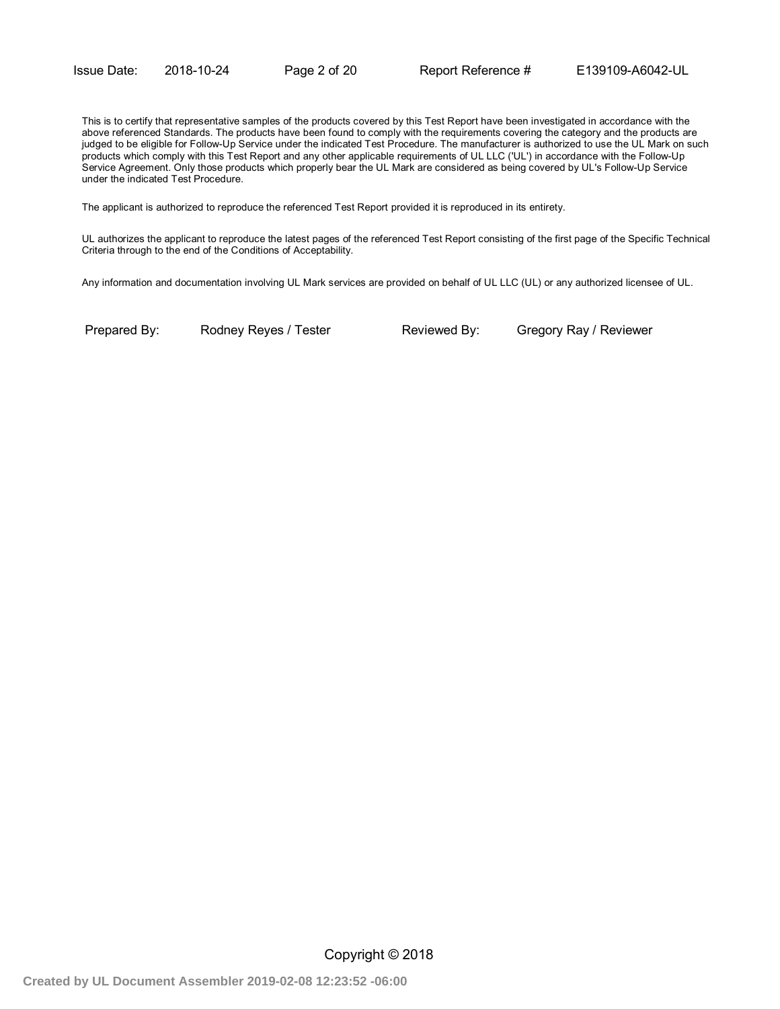This is to certify that representative samples of the products covered by this Test Report have been investigated in accordance with the above referenced Standards. The products have been found to comply with the requirements covering the category and the products are judged to be eligible for Follow-Up Service under the indicated Test Procedure. The manufacturer is authorized to use the UL Mark on such products which comply with this Test Report and any other applicable requirements of UL LLC ('UL') in accordance with the Follow-Up Service Agreement. Only those products which properly bear the UL Mark are considered as being covered by UL's Follow-Up Service under the indicated Test Procedure.

The applicant is authorized to reproduce the referenced Test Report provided it is reproduced in its entirety.

UL authorizes the applicant to reproduce the latest pages of the referenced Test Report consisting of the first page of the Specific Technical Criteria through to the end of the Conditions of Acceptability.

Any information and documentation involving UL Mark services are provided on behalf of UL LLC (UL) or any authorized licensee of UL.

Prepared By: Rodney Reyes / Tester Reviewed By: Gregory Ray / Reviewer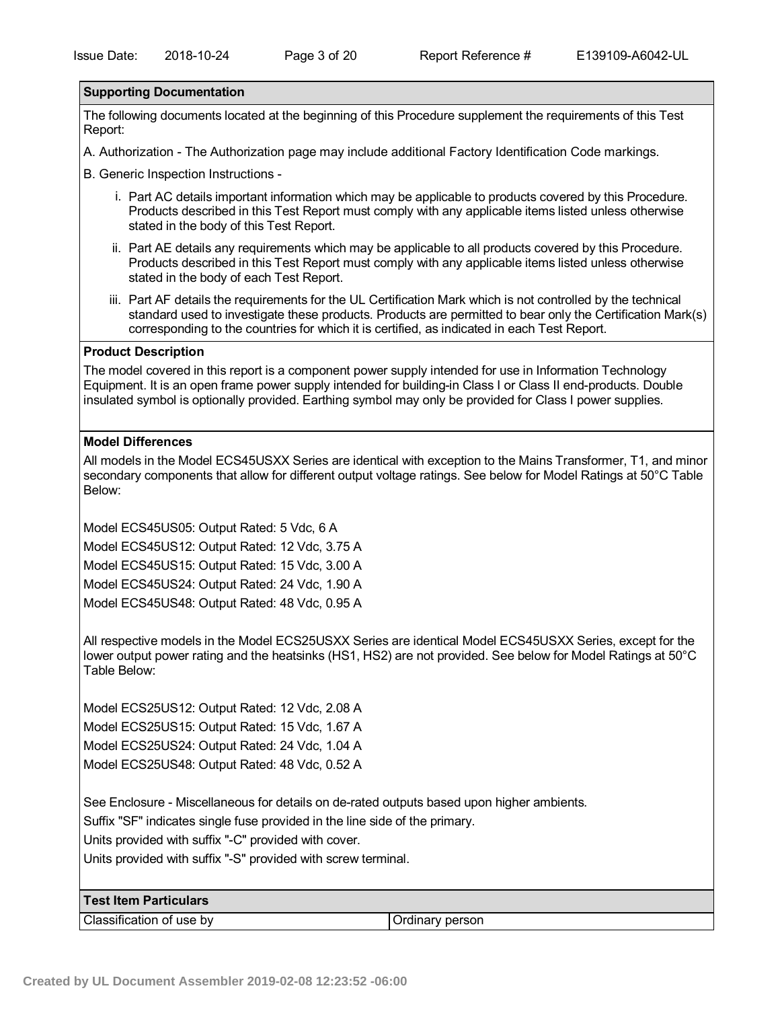#### **Supporting Documentation**

The following documents located at the beginning of this Procedure supplement the requirements of this Test Report:

A. Authorization - The Authorization page may include additional Factory Identification Code markings.

B. Generic Inspection Instructions -

- i. Part AC details important information which may be applicable to products covered by this Procedure. Products described in this Test Report must comply with any applicable items listed unless otherwise stated in the body of this Test Report.
- ii. Part AE details any requirements which may be applicable to all products covered by this Procedure. Products described in this Test Report must comply with any applicable items listed unless otherwise stated in the body of each Test Report.
- iii. Part AF details the requirements for the UL Certification Mark which is not controlled by the technical standard used to investigate these products. Products are permitted to bear only the Certification Mark(s) corresponding to the countries for which it is certified, as indicated in each Test Report.

#### **Product Description**

The model covered in this report is a component power supply intended for use in Information Technology Equipment. It is an open frame power supply intended for building-in Class I or Class II end-products. Double insulated symbol is optionally provided. Earthing symbol may only be provided for Class I power supplies.

#### **Model Differences**

| All models in the Model ECS45USXX Series are identical with exception to the Mains Transformer, T1, and minor   |
|-----------------------------------------------------------------------------------------------------------------|
| secondary components that allow for different output voltage ratings. See below for Model Ratings at 50°C Table |
| Below:                                                                                                          |

Model ECS45US05: Output Rated: 5 Vdc, 6 A Model ECS45US12: Output Rated: 12 Vdc, 3.75 A Model ECS45US15: Output Rated: 15 Vdc, 3.00 A Model ECS45US24: Output Rated: 24 Vdc, 1.90 A Model ECS45US48: Output Rated: 48 Vdc, 0.95 A

All respective models in the Model ECS25USXX Series are identical Model ECS45USXX Series, except for the lower output power rating and the heatsinks (HS1, HS2) are not provided. See below for Model Ratings at 50°C Table Below:

Model ECS25US12: Output Rated: 12 Vdc, 2.08 A Model ECS25US15: Output Rated: 15 Vdc, 1.67 A Model ECS25US24: Output Rated: 24 Vdc, 1.04 A Model ECS25US48: Output Rated: 48 Vdc, 0.52 A

See Enclosure - Miscellaneous for details on de-rated outputs based upon higher ambients.

Suffix "SF" indicates single fuse provided in the line side of the primary.

Units provided with suffix "-C" provided with cover.

Units provided with suffix "-S" provided with screw terminal.

#### **Test Item Particulars**

Classification of use by Classification of use by Classification of use by Classification of the D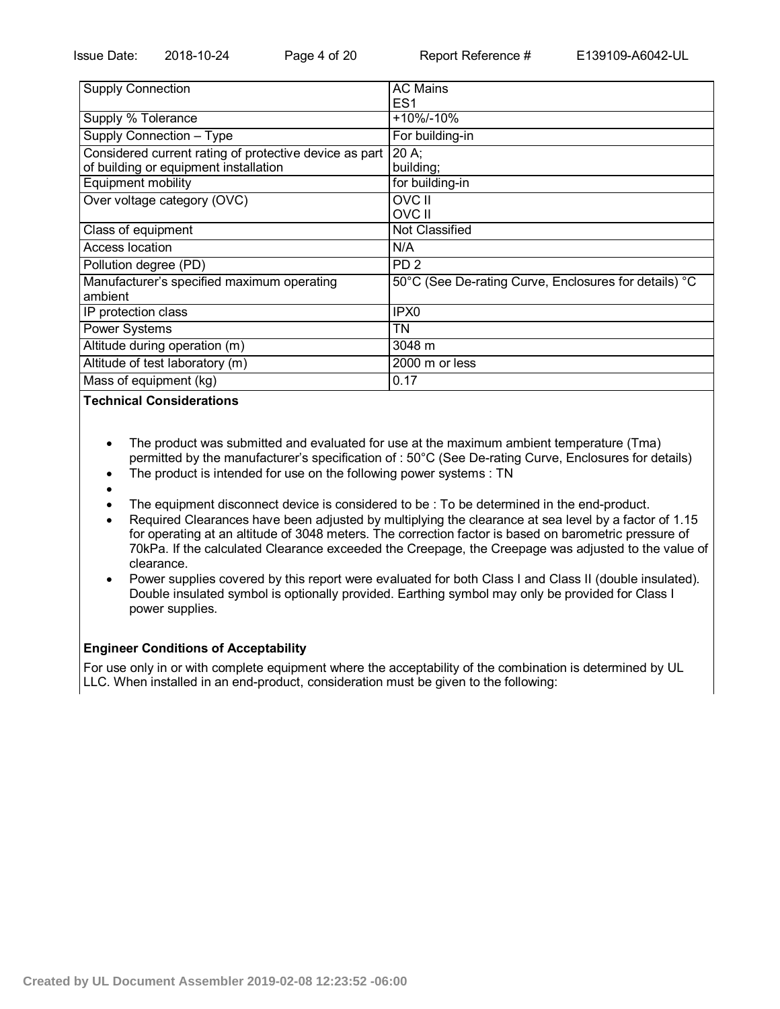| <b>Supply Connection</b>                               | <b>AC Mains</b>                                       |
|--------------------------------------------------------|-------------------------------------------------------|
|                                                        | ES <sub>1</sub>                                       |
| Supply % Tolerance                                     | +10%/-10%                                             |
| Supply Connection - Type                               | For building-in                                       |
| Considered current rating of protective device as part | 20 A                                                  |
| of building or equipment installation                  | building;                                             |
| Equipment mobility                                     | for building-in                                       |
| Over voltage category (OVC)                            | OVC II                                                |
|                                                        | OVC II                                                |
| Class of equipment                                     | Not Classified                                        |
| Access location                                        | N/A                                                   |
| Pollution degree (PD)                                  | PD <sub>2</sub>                                       |
| Manufacturer's specified maximum operating             | 50°C (See De-rating Curve, Enclosures for details) °C |
| ambient                                                |                                                       |
| IP protection class                                    | IPX <sub>0</sub>                                      |
| <b>Power Systems</b>                                   | ΤN                                                    |
| Altitude during operation (m)                          | 3048 m                                                |
| Altitude of test laboratory (m)                        | 2000 m or less                                        |
| Mass of equipment (kg)                                 | 0.17                                                  |

**Technical Considerations**

- The product was submitted and evaluated for use at the maximum ambient temperature (Tma) permitted by the manufacturer's specification of : 50°C (See De-rating Curve, Enclosures for details)
- The product is intended for use on the following power systems : TN
- $\bullet$
- The equipment disconnect device is considered to be : To be determined in the end-product.
- Required Clearances have been adjusted by multiplying the clearance at sea level by a factor of 1.15 for operating at an altitude of 3048 meters. The correction factor is based on barometric pressure of 70kPa. If the calculated Clearance exceeded the Creepage, the Creepage was adjusted to the value of clearance.
- Power supplies covered by this report were evaluated for both Class I and Class II (double insulated). Double insulated symbol is optionally provided. Earthing symbol may only be provided for Class I power supplies.

### **Engineer Conditions of Acceptability**

For use only in or with complete equipment where the acceptability of the combination is determined by UL LLC. When installed in an end-product, consideration must be given to the following: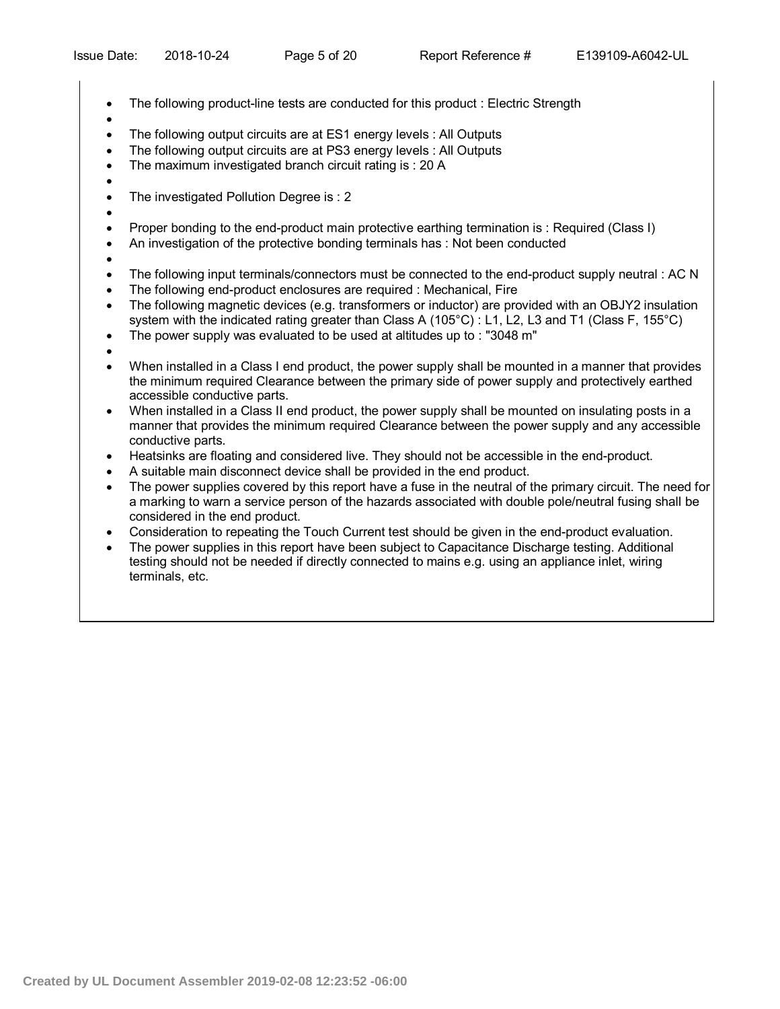- The following product-line tests are conducted for this product : Electric Strength
- $\bullet$
- The following output circuits are at ES1 energy levels : All Outputs
- The following output circuits are at PS3 energy levels : All Outputs
- The maximum investigated branch circuit rating is : 20 A
- $\bullet$
- The investigated Pollution Degree is : 2
- $\bullet$
- Proper bonding to the end-product main protective earthing termination is : Required (Class I)
- An investigation of the protective bonding terminals has : Not been conducted
- $\bullet$
- The following input terminals/connectors must be connected to the end-product supply neutral : AC N
- The following end-product enclosures are required : Mechanical, Fire
- The following magnetic devices (e.g. transformers or inductor) are provided with an OBJY2 insulation system with the indicated rating greater than Class A (105°C) : L1, L2, L3 and T1 (Class F, 155°C)
- The power supply was evaluated to be used at altitudes up to : "3048 m"
- $\bullet$
- When installed in a Class I end product, the power supply shall be mounted in a manner that provides the minimum required Clearance between the primary side of power supply and protectively earthed accessible conductive parts.
- When installed in a Class II end product, the power supply shall be mounted on insulating posts in a manner that provides the minimum required Clearance between the power supply and any accessible conductive parts.
- Heatsinks are floating and considered live. They should not be accessible in the end-product.
- A suitable main disconnect device shall be provided in the end product.
- The power supplies covered by this report have a fuse in the neutral of the primary circuit. The need for a marking to warn a service person of the hazards associated with double pole/neutral fusing shall be considered in the end product.
- Consideration to repeating the Touch Current test should be given in the end-product evaluation.
- The power supplies in this report have been subject to Capacitance Discharge testing. Additional testing should not be needed if directly connected to mains e.g. using an appliance inlet, wiring terminals, etc.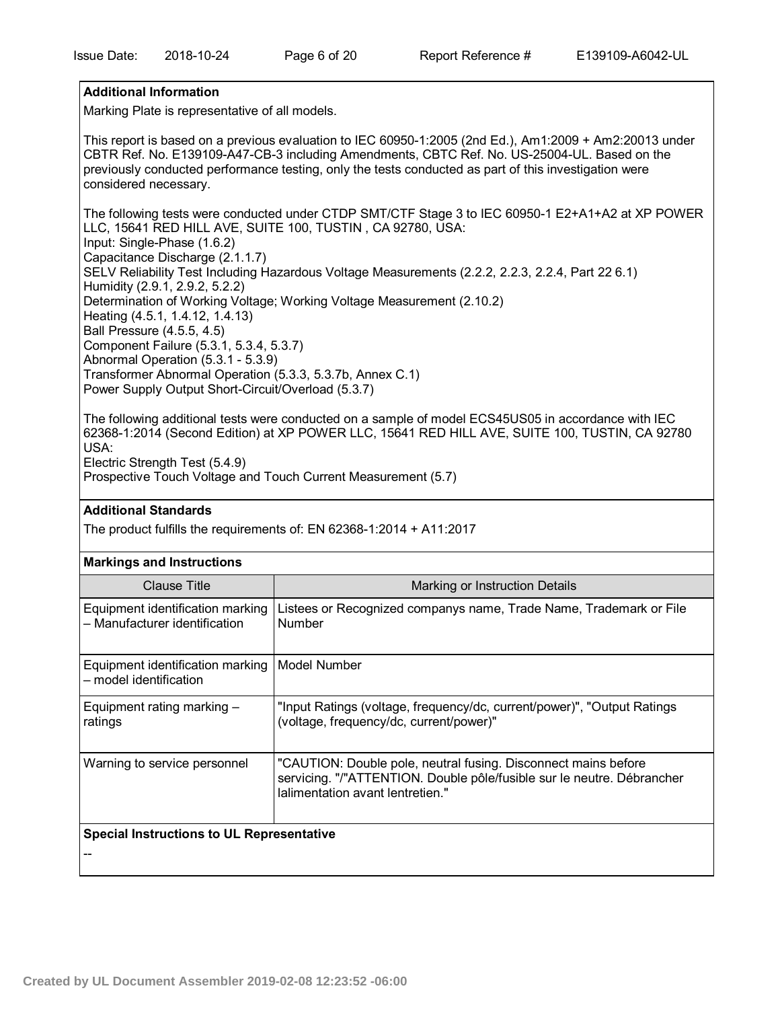## **Additional Information**

Marking Plate is representative of all models.

This report is based on a previous evaluation to IEC 60950-1:2005 (2nd Ed.), Am1:2009 + Am2:20013 under CBTR Ref. No. E139109-A47-CB-3 including Amendments, CBTC Ref. No. US-25004-UL. Based on the previously conducted performance testing, only the tests conducted as part of this investigation were considered necessary.

The following tests were conducted under CTDP SMT/CTF Stage 3 to IEC 60950-1 E2+A1+A2 at XP POWER LLC, 15641 RED HILL AVE, SUITE 100, TUSTIN , CA 92780, USA: Input: Single-Phase (1.6.2) Capacitance Discharge (2.1.1.7) SELV Reliability Test Including Hazardous Voltage Measurements (2.2.2, 2.2.3, 2.2.4, Part 22 6.1) Humidity (2.9.1, 2.9.2, 5.2.2) Determination of Working Voltage; Working Voltage Measurement (2.10.2) Heating (4.5.1, 1.4.12, 1.4.13) Ball Pressure (4.5.5, 4.5) Component Failure (5.3.1, 5.3.4, 5.3.7) Abnormal Operation (5.3.1 - 5.3.9) Transformer Abnormal Operation (5.3.3, 5.3.7b, Annex C.1) Power Supply Output Short-Circuit/Overload (5.3.7)

The following additional tests were conducted on a sample of model ECS45US05 in accordance with IEC 62368-1:2014 (Second Edition) at XP POWER LLC, 15641 RED HILL AVE, SUITE 100, TUSTIN, CA 92780 USA: Electric Strength Test (5.4.9)

Prospective Touch Voltage and Touch Current Measurement (5.7)

### **Additional Standards**

**Markings and Instructions**

The product fulfills the requirements of: EN 62368-1:2014 + A11:2017

| <b>Markings and Instructions</b>                                  |                                                                                                                                                                              |  |  |  |
|-------------------------------------------------------------------|------------------------------------------------------------------------------------------------------------------------------------------------------------------------------|--|--|--|
| Clause Title                                                      | Marking or Instruction Details                                                                                                                                               |  |  |  |
| Equipment identification marking<br>- Manufacturer identification | Listees or Recognized companys name, Trade Name, Trademark or File<br><b>Number</b>                                                                                          |  |  |  |
| Equipment identification marking<br>- model identification        | Model Number                                                                                                                                                                 |  |  |  |
| Equipment rating marking -<br>ratings                             | "Input Ratings (voltage, frequency/dc, current/power)", "Output Ratings<br>(voltage, frequency/dc, current/power)"                                                           |  |  |  |
| Warning to service personnel                                      | "CAUTION: Double pole, neutral fusing. Disconnect mains before<br>servicing. "/"ATTENTION. Double pôle/fusible sur le neutre. Débrancher<br>lalimentation avant lentretien." |  |  |  |
| <b>Special Instructions to UL Representative</b>                  |                                                                                                                                                                              |  |  |  |
|                                                                   |                                                                                                                                                                              |  |  |  |